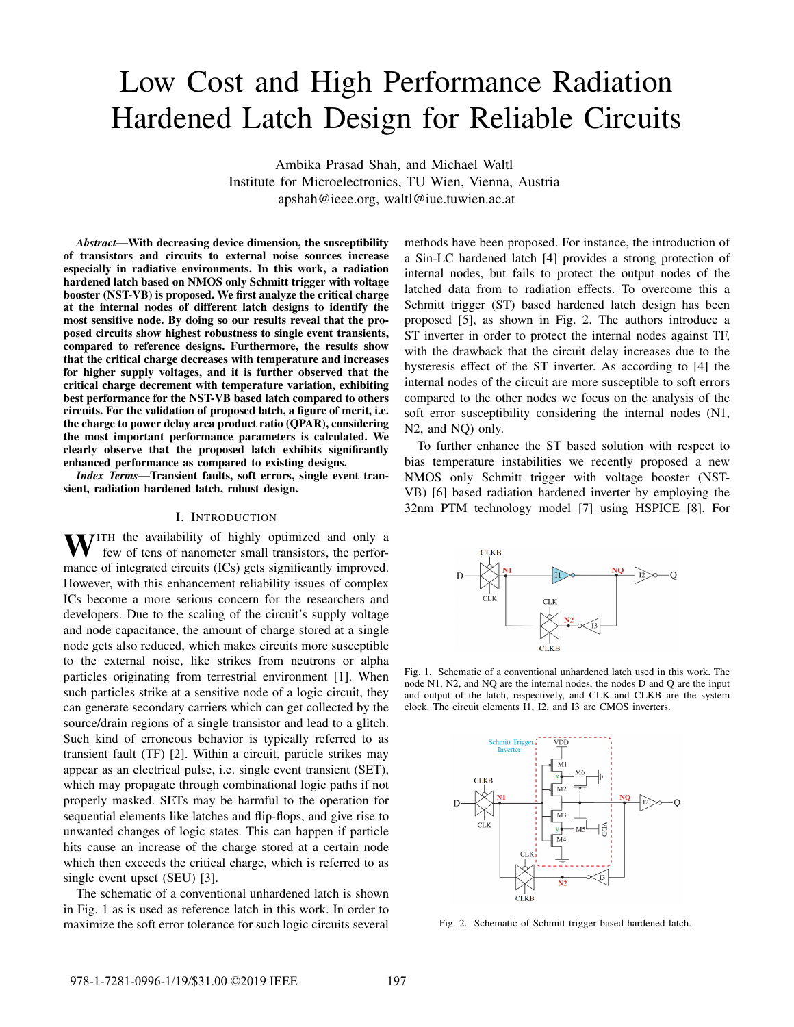# Low Cost and High Performance Radiation Hardened Latch Design for Reliable Circuits

Ambika Prasad Shah, and Michael Waltl Institute for Microelectronics, TU Wien, Vienna, Austria apshah@ieee.org, waltl@iue.tuwien.ac.at

*Abstract*—With decreasing device dimension, the susceptibility of transistors and circuits to external noise sources increase especially in radiative environments. In this work, a radiation hardened latch based on NMOS only Schmitt trigger with voltage booster (NST-VB) is proposed. We first analyze the critical charge at the internal nodes of different latch designs to identify the most sensitive node. By doing so our results reveal that the proposed circuits show highest robustness to single event transients, compared to reference designs. Furthermore, the results show that the critical charge decreases with temperature and increases for higher supply voltages, and it is further observed that the critical charge decrement with temperature variation, exhibiting best performance for the NST-VB based latch compared to others circuits. For the validation of proposed latch, a figure of merit, i.e. the charge to power delay area product ratio (QPAR), considering the most important performance parameters is calculated. We clearly observe that the proposed latch exhibits significantly enhanced performance as compared to existing designs.

*Index Terms*—Transient faults, soft errors, single event transient, radiation hardened latch, robust design.

#### I. INTRODUCTION

WITH the availability of highly optimized and only a few of tens of nanometer small transistors, the performance of integrated circuits (ICs) gets significantly improved. However, with this enhancement reliability issues of complex ICs become a more serious concern for the researchers and developers. Due to the scaling of the circuit's supply voltage and node capacitance, the amount of charge stored at a single node gets also reduced, which makes circuits more susceptible to the external noise, like strikes from neutrons or alpha particles originating from terrestrial environment [1]. When such particles strike at a sensitive node of a logic circuit, they can generate secondary carriers which can get collected by the source/drain regions of a single transistor and lead to a glitch. Such kind of erroneous behavior is typically referred to as transient fault (TF) [2]. Within a circuit, particle strikes may appear as an electrical pulse, i.e. single event transient (SET), which may propagate through combinational logic paths if not properly masked. SETs may be harmful to the operation for sequential elements like latches and flip-flops, and give rise to unwanted changes of logic states. This can happen if particle hits cause an increase of the charge stored at a certain node which then exceeds the critical charge, which is referred to as single event upset (SEU) [3].

The schematic of a conventional unhardened latch is shown in Fig. 1 as is used as reference latch in this work. In order to maximize the soft error tolerance for such logic circuits several methods have been proposed. For instance, the introduction of a Sin-LC hardened latch [4] provides a strong protection of internal nodes, but fails to protect the output nodes of the latched data from to radiation effects. To overcome this a Schmitt trigger (ST) based hardened latch design has been proposed [5], as shown in Fig. 2. The authors introduce a ST inverter in order to protect the internal nodes against TF, with the drawback that the circuit delay increases due to the hysteresis effect of the ST inverter. As according to [4] the internal nodes of the circuit are more susceptible to soft errors compared to the other nodes we focus on the analysis of the soft error susceptibility considering the internal nodes (N1, N2, and NQ) only.

To further enhance the ST based solution with respect to bias temperature instabilities we recently proposed a new NMOS only Schmitt trigger with voltage booster (NST-VB) [6] based radiation hardened inverter by employing the 32nm PTM technology model [7] using HSPICE [8]. For



Fig. 1. Schematic of a conventional unhardened latch used in this work. The node N1, N2, and NQ are the internal nodes, the nodes D and Q are the input and output of the latch, respectively, and CLK and CLKB are the system clock. The circuit elements I1, I2, and I3 are CMOS inverters.



Fig. 2. Schematic of Schmitt trigger based hardened latch.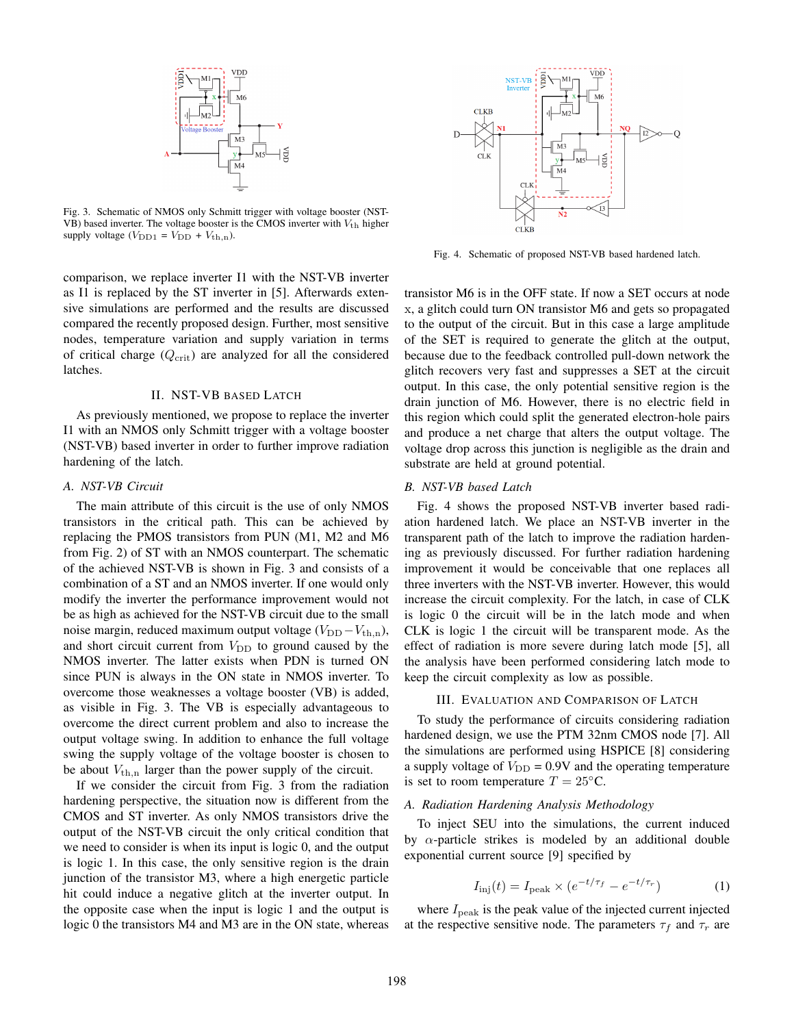

Fig. 3. Schematic of NMOS only Schmitt trigger with voltage booster (NST-VB) based inverter. The voltage booster is the CMOS inverter with  $V_{th}$  higher supply voltage  $(V_{\text{DD1}} = V_{\text{DD}} + V_{\text{th,n}})$ .

comparison, we replace inverter I1 with the NST-VB inverter as I1 is replaced by the ST inverter in [5]. Afterwards extensive simulations are performed and the results are discussed compared the recently proposed design. Further, most sensitive nodes, temperature variation and supply variation in terms of critical charge  $(Q_{\text{crit}})$  are analyzed for all the considered latches.

# II. NST-VB BASED LATCH

As previously mentioned, we propose to replace the inverter I1 with an NMOS only Schmitt trigger with a voltage booster (NST-VB) based inverter in order to further improve radiation hardening of the latch.

# *A. NST-VB Circuit*

The main attribute of this circuit is the use of only NMOS transistors in the critical path. This can be achieved by replacing the PMOS transistors from PUN (M1, M2 and M6 from Fig. 2) of ST with an NMOS counterpart. The schematic of the achieved NST-VB is shown in Fig. 3 and consists of a combination of a ST and an NMOS inverter. If one would only modify the inverter the performance improvement would not be as high as achieved for the NST-VB circuit due to the small noise margin, reduced maximum output voltage  $(V_{DD} - V_{th,n})$ , and short circuit current from  $V_{\text{DD}}$  to ground caused by the NMOS inverter. The latter exists when PDN is turned ON since PUN is always in the ON state in NMOS inverter. To overcome those weaknesses a voltage booster (VB) is added, as visible in Fig. 3. The VB is especially advantageous to overcome the direct current problem and also to increase the output voltage swing. In addition to enhance the full voltage swing the supply voltage of the voltage booster is chosen to be about  $V_{\text{th,n}}$  larger than the power supply of the circuit.

If we consider the circuit from Fig. 3 from the radiation hardening perspective, the situation now is different from the CMOS and ST inverter. As only NMOS transistors drive the output of the NST-VB circuit the only critical condition that we need to consider is when its input is logic 0, and the output is logic 1. In this case, the only sensitive region is the drain junction of the transistor M3, where a high energetic particle hit could induce a negative glitch at the inverter output. In the opposite case when the input is logic 1 and the output is logic 0 the transistors M4 and M3 are in the ON state, whereas



Fig. 4. Schematic of proposed NST-VB based hardened latch.

transistor M6 is in the OFF state. If now a SET occurs at node x, a glitch could turn ON transistor M6 and gets so propagated to the output of the circuit. But in this case a large amplitude of the SET is required to generate the glitch at the output, because due to the feedback controlled pull-down network the glitch recovers very fast and suppresses a SET at the circuit output. In this case, the only potential sensitive region is the drain junction of M6. However, there is no electric field in this region which could split the generated electron-hole pairs and produce a net charge that alters the output voltage. The voltage drop across this junction is negligible as the drain and substrate are held at ground potential.

### *B. NST-VB based Latch*

Fig. 4 shows the proposed NST-VB inverter based radiation hardened latch. We place an NST-VB inverter in the transparent path of the latch to improve the radiation hardening as previously discussed. For further radiation hardening improvement it would be conceivable that one replaces all three inverters with the NST-VB inverter. However, this would increase the circuit complexity. For the latch, in case of CLK is logic 0 the circuit will be in the latch mode and when CLK is logic 1 the circuit will be transparent mode. As the effect of radiation is more severe during latch mode [5], all the analysis have been performed considering latch mode to keep the circuit complexity as low as possible.

#### III. EVALUATION AND COMPARISON OF LATCH

To study the performance of circuits considering radiation hardened design, we use the PTM 32nm CMOS node [7]. All the simulations are performed using HSPICE [8] considering a supply voltage of  $V_{\text{DD}} = 0.9V$  and the operating temperature is set to room temperature  $T = 25^{\circ}$ C.

# *A. Radiation Hardening Analysis Methodology*

To inject SEU into the simulations, the current induced by  $\alpha$ -particle strikes is modeled by an additional double exponential current source [9] specified by

$$
I_{\rm inj}(t) = I_{\rm peak} \times (e^{-t/\tau_f} - e^{-t/\tau_r}) \tag{1}
$$

where  $I_{\text{peak}}$  is the peak value of the injected current injected at the respective sensitive node. The parameters  $\tau_f$  and  $\tau_r$  are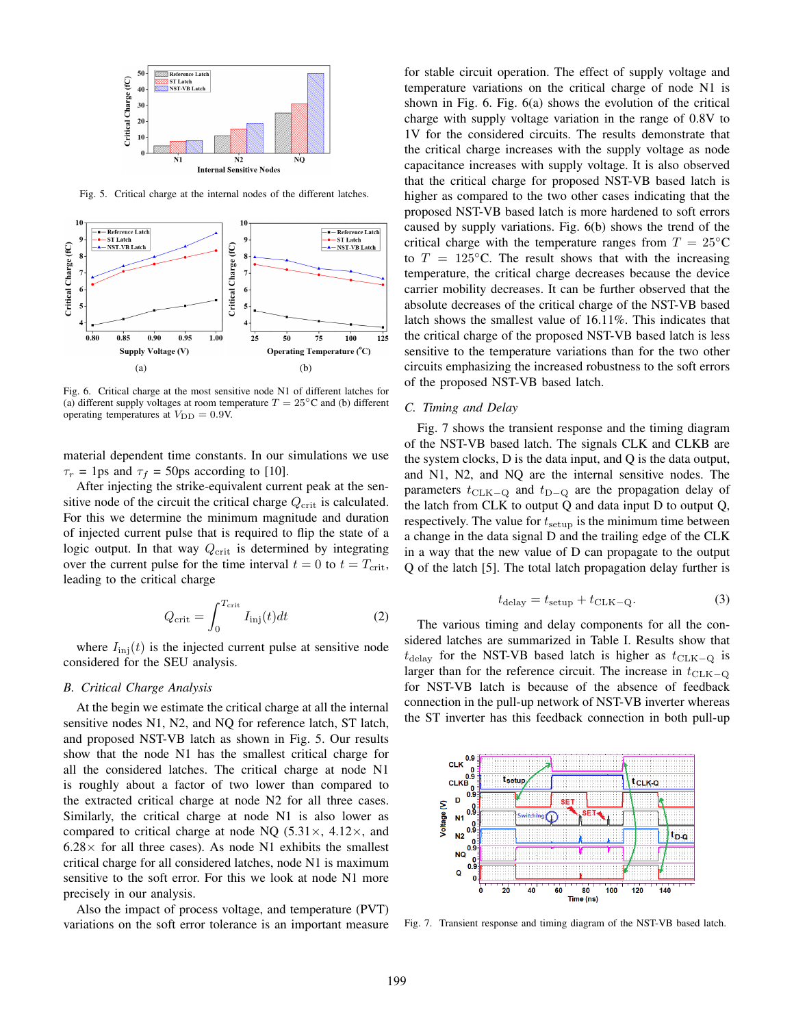

Fig. 5. Critical charge at the internal nodes of the different latches.



Fig. 6. Critical charge at the most sensitive node N1 of different latches for (a) different supply voltages at room temperature  $T = 25\degree C$  and (b) different operating temperatures at  $V_{\text{DD}} = 0.9V$ .

material dependent time constants. In our simulations we use  $\tau_r = 1$ ps and  $\tau_f = 50$ ps according to [10].

After injecting the strike-equivalent current peak at the sensitive node of the circuit the critical charge  $Q_{\text{crit}}$  is calculated. For this we determine the minimum magnitude and duration of injected current pulse that is required to flip the state of a logic output. In that way  $Q_{\text{crit}}$  is determined by integrating over the current pulse for the time interval  $t = 0$  to  $t = T<sub>crit</sub>$ , leading to the critical charge

$$
Q_{\rm crit} = \int_0^{T_{\rm crit}} I_{\rm inj}(t) dt
$$
 (2)

where  $I_{\text{inj}}(t)$  is the injected current pulse at sensitive node considered for the SEU analysis.

#### *B. Critical Charge Analysis*

At the begin we estimate the critical charge at all the internal sensitive nodes N1, N2, and NQ for reference latch, ST latch, and proposed NST-VB latch as shown in Fig. 5. Our results show that the node N1 has the smallest critical charge for all the considered latches. The critical charge at node N1 is roughly about a factor of two lower than compared to the extracted critical charge at node N2 for all three cases. Similarly, the critical charge at node N1 is also lower as compared to critical charge at node NQ  $(5.31\times, 4.12\times,$  and  $6.28 \times$  for all three cases). As node N1 exhibits the smallest critical charge for all considered latches, node N1 is maximum sensitive to the soft error. For this we look at node N1 more precisely in our analysis.

Also the impact of process voltage, and temperature (PVT) variations on the soft error tolerance is an important measure for stable circuit operation. The effect of supply voltage and temperature variations on the critical charge of node N1 is shown in Fig. 6. Fig. 6(a) shows the evolution of the critical charge with supply voltage variation in the range of 0.8V to 1V for the considered circuits. The results demonstrate that the critical charge increases with the supply voltage as node capacitance increases with supply voltage. It is also observed that the critical charge for proposed NST-VB based latch is higher as compared to the two other cases indicating that the proposed NST-VB based latch is more hardened to soft errors caused by supply variations. Fig. 6(b) shows the trend of the critical charge with the temperature ranges from  $T = 25\degree C$ to  $T = 125$ °C. The result shows that with the increasing temperature, the critical charge decreases because the device carrier mobility decreases. It can be further observed that the absolute decreases of the critical charge of the NST-VB based latch shows the smallest value of 16.11%. This indicates that the critical charge of the proposed NST-VB based latch is less sensitive to the temperature variations than for the two other circuits emphasizing the increased robustness to the soft errors of the proposed NST-VB based latch.

# *C. Timing and Delay*

Fig. 7 shows the transient response and the timing diagram of the NST-VB based latch. The signals CLK and CLKB are the system clocks, D is the data input, and Q is the data output, and N1, N2, and NQ are the internal sensitive nodes. The parameters  $t_{\text{CLK}-Q}$  and  $t_{\text{D}-Q}$  are the propagation delay of the latch from CLK to output Q and data input D to output Q, respectively. The value for  $t_{\text{setup}}$  is the minimum time between a change in the data signal D and the trailing edge of the CLK in a way that the new value of D can propagate to the output Q of the latch [5]. The total latch propagation delay further is

$$
t_{\text{delay}} = t_{\text{setup}} + t_{\text{CLK}-\text{Q}}.\tag{3}
$$

The various timing and delay components for all the considered latches are summarized in Table I. Results show that  $t_{\text{delay}}$  for the NST-VB based latch is higher as  $t_{\text{CLK}-Q}$  is larger than for the reference circuit. The increase in  $t_{\text{CLK−Q}}$ for NST-VB latch is because of the absence of feedback connection in the pull-up network of NST-VB inverter whereas the ST inverter has this feedback connection in both pull-up



Fig. 7. Transient response and timing diagram of the NST-VB based latch.